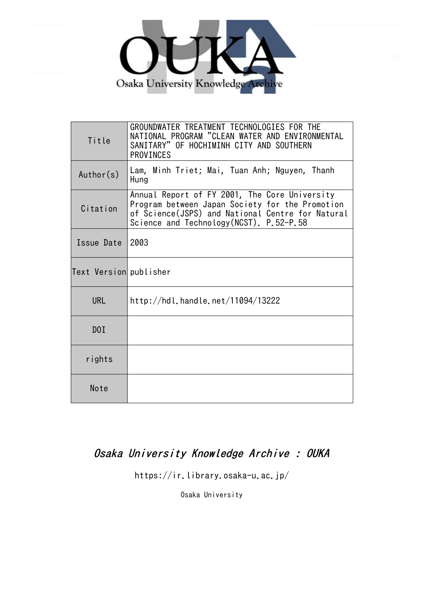

| Title                  | GROUNDWATER TREATMENT TECHNOLOGIES FOR THE<br>NATIONAL PROGRAM "CLEAN WATER AND ENVIRONMENTAL<br>SANITARY" OF HOCHIMINH CITY AND SOUTHERN<br><b>PROVINCES</b>                                   |  |  |  |
|------------------------|-------------------------------------------------------------------------------------------------------------------------------------------------------------------------------------------------|--|--|--|
| Author(s)              | Lam, Minh Triet; Mai, Tuan Anh; Nguyen, Thanh<br>Hung                                                                                                                                           |  |  |  |
| Citation               | Annual Report of FY 2001, The Core University<br>Program between Japan Society for the Promotion<br>of Science(JSPS) and National Centre for Natural<br>Science and Technology(NCST). P.52-P.58 |  |  |  |
| Issue Date             | 2003                                                                                                                                                                                            |  |  |  |
| Text Version publisher |                                                                                                                                                                                                 |  |  |  |
| <b>URL</b>             | http://hdl.handle.net/11094/13222                                                                                                                                                               |  |  |  |
| D0I                    |                                                                                                                                                                                                 |  |  |  |
| rights                 |                                                                                                                                                                                                 |  |  |  |
| Note                   |                                                                                                                                                                                                 |  |  |  |

# Osaka University Knowledge Archive : OUKA

https://ir.library.osaka-u.ac.jp/

Osaka University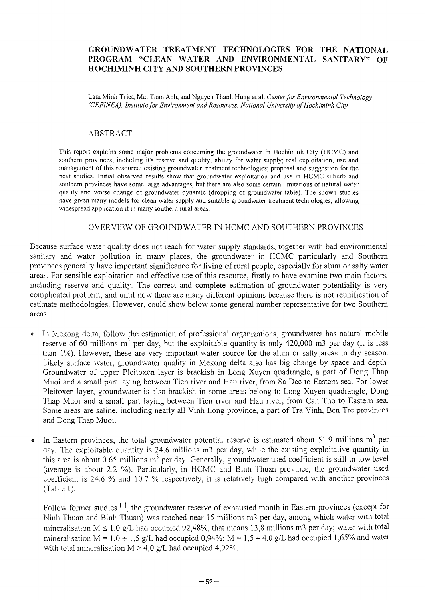#### **GROUNDW ATER TREATMENT TECHNOLOGIES FOR THE NATIONAL PROGRAM "CLEAN WATER AND ENVIRONMENTAL SANITARY" OF HOCHIMINH CITY AND SOUTHERN PROVINCES**

Lam Minh Triet, Mai Tuan Anh, and Nguyen Thanh Hung et al. *Center for Environmental Technology (CEFINEA), Institute for Environment and Resources, National University of Hochiminh City* 

#### ABSTRACT

This report explains some major problems concerning the groundwater in Hochiminh City (HCMC) and southern provinces, including it's reserve and quality; ability for water supply; real exploitation, use and management of this resource; existing groundwater treatment technologies; proposal and suggestion for the next studies. Initial observed results show that groundwater exploitation and use in HCMC suburb and southern provinces have some large advantages, but there are also some certain limitations of natural water quality and worse change of groundwater dynamic (dropping of groundwater table). The shown studies have given many models for clean water supply and suitable groundwater treatment technologies, allowing widespread application it in many southern rural areas.

#### OVERVIEW OF GROUND WATER IN HCMC AND SOUTHERN PROVINCES

Because surface water quality does not reach for water supply standards, together with bad environmental sanitary and water pollution in many places, the groundwater in HCMC particularly and Southern provinces generally have important significance for living of rural people, especially for alum or salty water areas. For sensible exploitation and effective use of this resource, firstly to have examine two main factors, including reserve and quality. The correct and complete estimation of groundwater potentiality is very complicated problem, and until now there are many different opinions because there is not reunification of estimate methodologies. However, could show below some general number representative for two Southern areas:

- 11 In Mekong delta, follow the estimation of professional organizations, groundwater has natural mobile reserve of 60 millions  $m<sup>3</sup>$  per day, but the exploitable quantity is only 420,000 m3 per day (it is less than 1%). However, these are very important water source for the alum or salty areas in dry season. Likely surface water, groundwater quality in Mekong delta also has big change by space and depth. Groundwater of upper Pleitoxen layer is brackish in Long Xuyen quadrangle, a part of Dong Thap Muoi and a small part laying between Tien river and Hau river, from Sa Dec to Eastern sea. For lower Pleitoxen layer, groundwater is also brackish in some areas belong to Long Xuyen quadrangle, Dong Thap Muoi and a small part laying between Tien river and Hau river, from Can Tho to Eastern sea. Some areas are saline, including nearly all Vinh Long province, a part of Tra Vinh, Ben Tre provinces and Dong Thap Muoi.
- In Eastern provinces, the total groundwater potential reserve is estimated about 51.9 millions  $m^3$  per day. The exploitable quantity is 24.6 millions m3 per day, while the existing exploitative quantity in this area is about  $0.65$  millions  $m<sup>3</sup>$  per day. Generally, groundwater used coefficient is still in low level (average is about 2.2 %). Particularly, in HCMC and Binh Thuan province, the groundwater used coefficient is 24.6 % and 10.7 % respectively; it is relatively high compared with another provinces (Table 1).

Follow former studies <sup>[1]</sup>, the groundwater reserve of exhausted month in Eastern provinces (except for Ninh Thuan and Binh Thuan) was reached near 15 millions m3 per day, among which water with total mineralisation  $M \le 1.0$  g/L had occupied 92,48%, that means 13,8 millions m3 per day; water with total mineralisation  $M = 1,0 \div 1,5$  g/L had occupied 0,94%;  $M = 1,5 \div 4,0$  g/L had occupied 1,65% and water with total mineralisation M > 4,0 *g/L* had occupied 4,92%.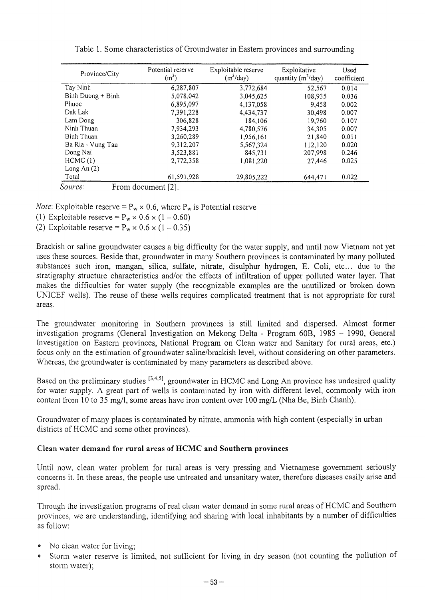| Province/City                 | Potential reserve<br>$(m^3)$ | Exploitable reserve<br>$(m^3$ /day) | Exploitative<br>quantity $(m^3/day)$ | Used<br>coefficient |  |
|-------------------------------|------------------------------|-------------------------------------|--------------------------------------|---------------------|--|
| Tay Ninh                      | 6,287,807                    | 3,772,684                           | 52,567                               | 0.014               |  |
| $Binh Duong + Binh$           | 5,078,042                    | 3,045,625                           | 108.935                              | 0.036               |  |
| Phuoc                         | 6,895,097                    | 4,137,058                           | 9.458                                | 0.002               |  |
| Dak Lak                       | 7.391.228                    | 4,434,737                           | 30,498                               | 0.007               |  |
| Lam Dong                      | 306,828                      | 184,106                             | 19,760                               | 0.107               |  |
| Ninh Thuan                    | 7.934,293                    | 4,780,576                           | 34.305                               | 0.007               |  |
| Binh Thuan                    | 3,260,289                    | 1.956.161                           | 21.840                               | 0.011               |  |
| Ba Ria - Vung Tau             | 9,312,207                    | 5,567,324                           | 112,120                              | 0.020               |  |
| Dong Nai                      | 3,523,881                    | 845,731                             | 207,998                              | 0.246               |  |
| HCMC(1)                       | 2,772,358                    | 1,081,220                           | 27,446                               | 0.025               |  |
| Long An (2)                   |                              |                                     |                                      |                     |  |
| Total                         | 61,591,928                   | 29,805,222                          | 644,471                              | 0.022               |  |
| Source:<br>From document [2]. |                              |                                     |                                      |                     |  |

Table l. Some characteristics of Groundwater in Eastern provinces and surrounding

*Note:* Exploitable reserve =  $P_w \times 0.6$ , where  $P_w$  is Potential reserve

(1) Exploitable reserve =  $P_w \times 0.6 \times (1 - 0.60)$ 

(2) Exploitable reserve =  $P_w \times 0.6 \times (1 - 0.35)$ 

Brackish or saline groundwater causes a big difficulty for the water supply, and until now Vietnam not yet uses these sources. Beside that, groundwater in many Southern provinces is contaminated by many polluted substances such iron, mangan, silica, sulfate, nitrate, disulphur hydrogen, E. Coli, etc... due to the stratigraphy structure characteristics and/or the effects of infiltration of upper polluted water layer. That makes the difficulties for water supply (the recognizable examples are the unutilized or broken down UNICEF wells). The reuse of these wells requires complicated treatment that is not appropriate for rural areas.

The ground water monitoring in Southern provinces is still limited and dispersed. Almost former investigation programs (General Investigation on Mekong Delta - Program 60B, 1985 - 1990, General Investigation on Eastern provinces, National Program on Clean water and Sanitary for rural areas, etc.) focus only on the estimation of groundwater saline/brackish level, without considering on other parameters. Whereas, the groundwater is contaminated by many parameters as described above.

Based on the preliminary studies <sup>[3,4,5]</sup>, groundwater in HCMC and Long An province has undesired quality for water supply. A great part of wells is contaminated by iron with different level, commonly with iron content from 10 to 35 mg/l, some areas have iron content over 100 *mg/L* (Nha Be, Binh Chanh).

Groundwater of many places is contaminated by nitrate, ammonia with high content (especially in urban districts of HCMC and some other provinces).

## Clean **water demand for rural** areas **of HCMC and Southern provinces**

Until now, clean water problem for rural areas is very pressing and Vietnamese government seriously concerns it. In these areas, the people use untreated and unsanitary water, therefore diseases easily arise and spread.

Through the investigation programs of real clean water demand in some rural areas of HCMC and Southern provinces, we are understanding, identifying and sharing with local inhabitants by a number of difficulties as follow:

- No clean water for living;
- Storm water reserve is limited, not sufficient for living in dry season (not counting the pollution of storm water);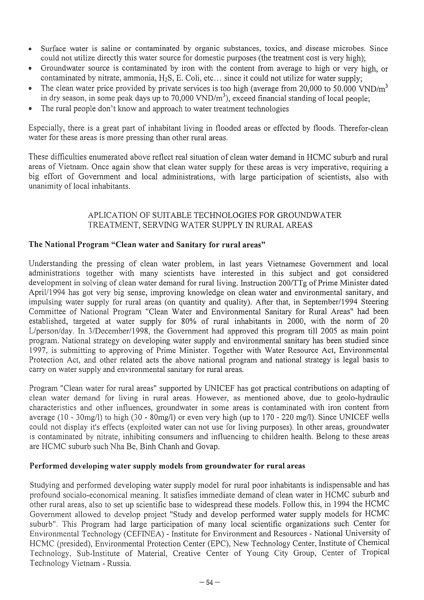- Surface water is saline or contaminated by organic substances, toxics, and disease microbes. Since could not utilize directly this water source for domestic purposes (the treatment cost is very high);
- Groundwater source is contaminated by iron with the content from average to high or very high, or contaminated by nitrate, ammonia, H<sub>2</sub>S, E. Coli, etc... since it could not utilize for water supply;
- The clean water price provided by private services is too high (average from 20,000 to 50,000 VND/m<sup>3</sup>) in dry season, in some peak days up to  $70,000 \text{ VND/m}^3$ ), exceed financial standing of local people;
- The rural people don't know and approach to water treatment technologies

Especially, there is a great part of inhabitant living in flooded areas or effected by floods. Therefor-clean water for these areas is more pressing than other rural areas.

These difficulties enumerated above reflect real situation of clean water demand in HCMC suburb and rural areas of Vietnam. Once again show that clean water supply for these areas is very imperative, requiring a big effort of Government and local administrations, with large participation of scientists, also with unanimity of local inhabitants.

## APLICA TION OF SUITABLE TECHNOLOGIES FOR GROUNDW ATER TREATMENT, SERVING WATER SUPPLY IN RURAL AREAS

## **The National Program "Clean water and Sanitary for rural areas"**

Understanding the pressing of clean water problem, in last years Vietnamese Government and local administrations together with many scientists have interested in this subject and got considered development in solving of clean water demand for rural living. Instruction *200lTTg* of Prime Minister dated April/1994 has got very big sense, improving knowledge on clean water and environmental sanitary, and impulsing water supply for rural areas (on quantity and quality). After that, in September/1994 Steering Committee of National Program "Clean Water and Environmental Sanitary for Rural Areas" had been established, targeted at water supply for 80% of rural inhabitants in 2000, with the norm of 20 L/person/day. In 3/December/1998, the Government had approved this program till 2005 as main point program. National strategy on developing water supply and environmental sanitary has been studied since 1997, is submitting to approving of Prime Minister. Together with Water Resource Act, Environmental Protection Act, and other related acts the above national program and national strategy is legal basis to carry on water supply and environmental sanitary for rural areas.

Program "Clean water for rural areas" supported by UNICEF has got practical contributions on adapting of clean water demand for living in rural areas. However, as mentioned above, due to geolo-hydraulic characteristics and other influences, groundwater in some areas is contaminated with iron content from average (10 - 30mg/l) to high (30 - 80mg/l) or even very high (up to 170 - 220 mg/I). Since UNICEF wells could not display it's effects (exploited water can not use for living purposes). In other areas, groundwater is contaminated by nitrate, inhibiting consumers and influencing to children health. Belong to these areas are HCMC suburb such Nha Be, Binh Chanh and Govap.

#### **Performed developing water supply models from groundwater for rural areas**

StUdying and performed developing water supply model for rural poor inhabitants is indispensable and has profound socialo-economical meaning. It satisfies immediate demand of clean water in HCMC suburb and other rural areas, also to set up scientific base to widespread these models. Follow this, in 1994 the HCMC Government allowed to develop project "Study and develop performed water supply models for HCMC suburb". This Program had large participation of many local scientific organizations such Center for Environmental Technology (CEFINEA) - Institute for Environment and Resources - National University of HCMC (presided), Environmental Protection Center (EPC), New Technology Center, Institute of Chemical Technology, Sub-Institute of Material, Creative Center of Young City Group, Center of Tropical Technology Vietnam - Russia.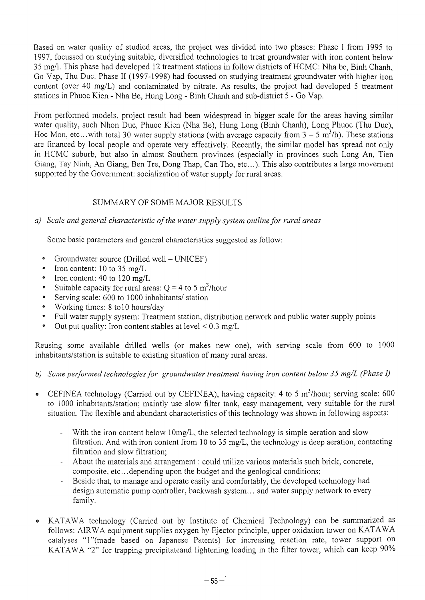Based on water quality of studied areas, the project was divided into two phases: Phase I from 1995 to 1997, focus sed on studying suitable, diversified technologies to treat groundwater with iron content below 35 mg/!. This phase had developed 12 treatment stations in follow districts ofHCMC: Nha be, Binh Chanh, Go Yap, Thu Duc. Phase II (1997-1998) had focussed on studying treatment groundwater with higher iron content (over 40 mg/L) and contaminated by nitrate. As results, the project had developed 5 treatment stations in Phuoc Kien - Nha Be, Hung Long - Binh Chanh and sub-district 5 - Go Yap.

From performed models, project result had been widespread in bigger scale for the areas having similar water quality, such Nhon Duc, Phuoc Kien (Nha Be), Hung Long (Binh Chanh), Long Phuoc (Thu Duc), Hoc Mon, etc... with total 30 water supply stations (with average capacity from  $3 - 5$  m<sup>3</sup>/h). These stations are financed by local people and operate very effectively. Recently, the similar model has spread not only in HCMC suburb, but also in almost Southern provinces (especially in provinces such Long An, Tien Giang, Tay Ninh, An Giang, Ben Tre, Dong Thap, Can Tho, etc...). This also contributes a large movement supported by the Government: socialization of water supply for rural areas.

## SUMMARY OF SOME MAJOR RESULTS

## *a) Scale and general characteristic of the water supply system outline for rural areas*

Some basic parameters and general characteristics suggested as follow:

- Groundwater source (Drilled well- UNICEF)
- Iron content:  $10$  to  $35 \text{ mg/L}$
- Iron content:  $40$  to  $120 \text{ mg/L}$
- Suitable capacity for rural areas:  $Q = 4$  to 5 m<sup>3</sup>/hour
- Serving scale: 600 to 1000 inhabitants/ station
- Working times: 8 to 10 hours/day
- $\bullet$ Full water supply system: Treatment station, distribution network and public water supply points
- Out put quality: Iron content stables at level  $\leq 0.3$  mg/L

Reusing some available drilled wells (or makes new one), with serving scale from 600 to 1000 inhabitants/station is suitable to existing situation of many rural areas.

- *b)* Some performed technologies for groundwater treatment having iron content below 35 mg/L (Phase I)
- CEFINEA technology (Carried out by CEFINEA), having capacity: 4 to 5 m<sup>3</sup>/hour; serving scale: 600 to 1000 inhabitants/station; maintly use slow filter tank, easy management, very suitable for the rural situation. The flexible and abundant characteristics of this technology was shown in following aspects:
	- $\mathbb{Z}^2$ With the iron content below 10mg/L, the selected technology is simple aeration and slow filtration. And with iron content from 10 to 35 mg/L, the technology is deep aeration, contacting filtration and slow filtration;
	- About the materials and arrangement: could utilize various materials such brick, concrete, composite, etc ... depending upon the budget and the geological conditions;
	- Beside that, to manage and operate easily and comfortably, the developed technology had  $\sim$ design automatic pump controller, backwash system ... and water supply network to every family.
- KATAWA technology (Carried out by Institute of Chemical Technology) can be summarized as follows: AIRWA equipment supplies oxygen by Ejector principle, upper oxidation tower on KATAWA catalyses "1 "(made based on Japanese Patents) for increasing reaction rate, tower support on KATAWA "2" for trapping precipitateand lightening loading in the filter tower, which can keep 90%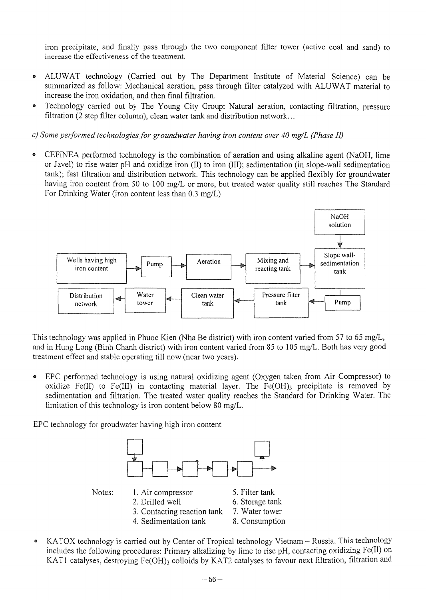iron precipitate, and finally pass through the two component filter tower (active coal and sand) to increase the effectiveness of the treatment.

- .. ALUWAT technology (Carried out by The Department Institute of Material Science) can be summarized as follow: Mechanical aeration, pass through filter catalyzed with ALUWAT material to increase the iron oxidation, and then final filtration.
- .. Technology carried out by The Young City Group: Natural aeration, contacting filtration, pressure filtration (2 step filter column), clean water tank and distribution network ...

c) *Some performed technologies for groundwater having iron content over 40 mg/L (Phase* JI)

.. CEFINEA performed technology is the combination of aeration and using alkaline agent (NaOH, lime or Javel) to rise water pH and oxidize iron  $(II)$  to iron  $(III)$ ; sedimentation (in slope-wall sedimentation tank); fast filtration and distribution network. This technology can be applied flexibly for groundwater having iron content from 50 to 100 mg/L or more, but treated water quality still reaches The Standard For Drinking Water (iron content less than 0.3 mg/L)



This technology was applied in Phuoc Kien (Nha Be district) with iron content varied from 57 to 65 mg/L, and in Hung Long (Binh Chanh district) with iron content varied from 85 to 105 mg/L. Both has very good treatment effect and stable operating till now (near two years).

.. EPC performed technology is using natural oxidizing agent (Oxygen taken from Air Compressor) to oxidize Fe(II) to Fe(III) in contacting material layer. The Fe(OH) $_3$  precipitate is removed by sedimentation and filtration. The treated water quality reaches the Standard for Drinking Water. The limitation of this technology is iron content below 80 mg/L.

EPC technology for groudwater having high iron content



.. KATOX technology is carried out by Center of Tropical technology Vietnam - Russia. This technology includes the following procedures: Primary alkalizing by lime to rise pH, contacting oxidizing Pe(II) on KAT1 catalyses, destroying Fe(OH)3 colloids by KAT2 catalyses to favour next filtration, filtration and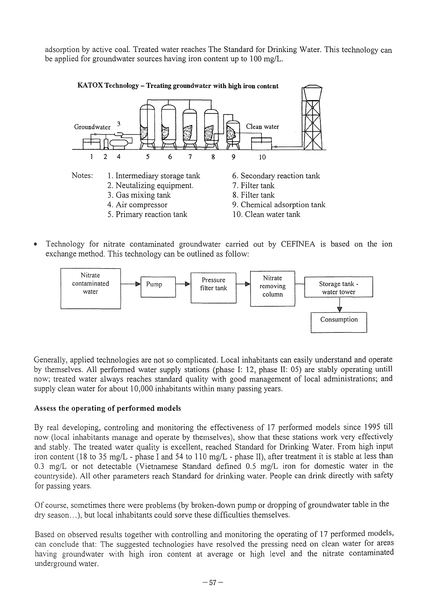adsorption by active coal. Treated water reaches The Standard for Drinking Water. This technology can be applied for groundwater sources having iron content up to 100 *mg/L.* 



• Technology for nitrate contaminated groundwater carried out by CEFINEA is based on the ion exchange method. This technology can be outlined as follow:



Generally, applied technologies are not so complicated. Local inhabitants can easily understand and operate by themselves. All performed water supply stations (phase I: 12, phase II: 05) are stably operating untill now; treated water always reaches standard quality with good management of local administrations; and supply clean water for about 10,000 inhabitants within many passing years.

## Assess **the operating of performed models**

By real developing, controling and monitoring the effectiveness of 17 performed models since 1995 till now (local inhabitants manage and operate by themselves), show that these stations work very effectively and stably. The treated water quality is excellent, reached Standard for Drinking Water. From high input iron content (18 to 35 *mg/L* - phase I and 54 to 110 *mg/L* - phase II), after treatment it is stable at less than *0.3 mg/L* or not detectable (Vietnamese Standard defined 0.5 *mg/L* iron for domestic water in the countryside). All other parameters reach Standard for drinking water. People can drink directly with safety for passing years.

Of course, sometimes there were problems (by broken-down pump or dropping of groundwater table in the dry season...), but local inhabitants could sorve these difficulties themselves.

Based on observed results together with controlling and monitoring the operating of 17 performed models, can conclude that: The suggested technologies have resolved the pressing need on clean water for areas having groundwater with high iron content at average or high level and the nitrate contaminated underground water.